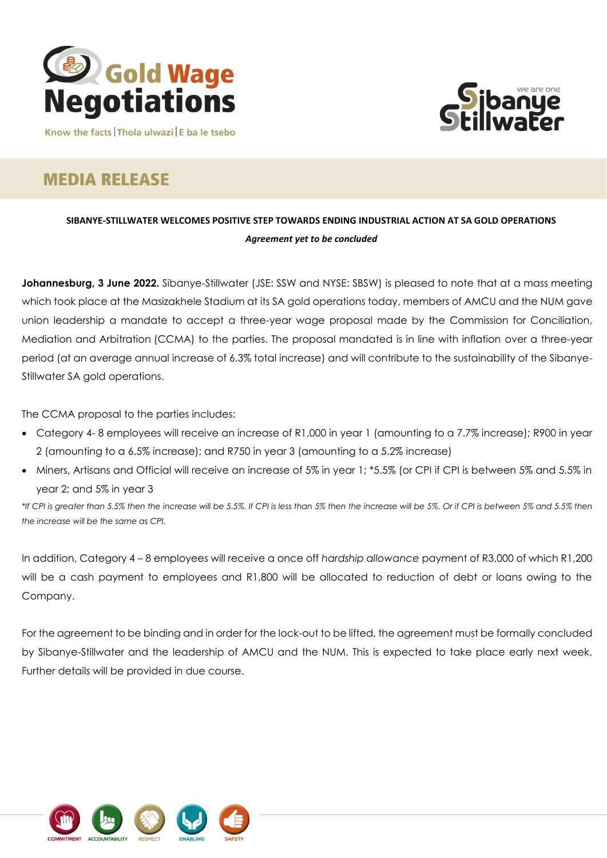



Know the facts Thola ulwazi E ba le tsebo

# **MEDIA RELEASE**

## **SIBANYE-STILLWATER WELCOMES POSITIVE STEP TOWARDS ENDING INDUSTRIAL ACTION AT SA GOLD OPERATIONS** *Agreement yet to be concluded*

**Johannesburg, 3 June 2022.** Sibanye-Stillwater (JSE: SSW and NYSE: SBSW) is pleased to note that at a mass meeting which took place at the Masizakhele Stadium at its SA gold operations today, members of AMCU and the NUM gave union leadership a mandate to accept a three-year wage proposal made by the Commission for Conciliation, Mediation and Arbitration (CCMA) to the parties. The proposal mandated is in line with inflation over a three-year period (at an average annual increase of 6.3% total increase) and will contribute to the sustainability of the Sibanye-Stillwater SA gold operations.

The CCMA proposal to the parties includes:

- Category 4-8 employees will receive an increase of R1,000 in year 1 (amounting to a 7.7% increase); R900 in year 2 (amounting to a 6.5% increase); and R750 in year 3 (amounting to a 5.2% increase)
- Miners, Artisans and Official will receive an increase of 5% in year 1; \*5.5% (or CPI if CPI is between 5% and 5.5% in year 2; and 5% in year 3

*\*If CPI is greater than 5.5% then the increase will be 5.5%. If CPI is less than 5% then the increase will be 5%. Or if CPI is between 5% and 5.5% then the increase will be the same as CPI.*

In addition, Category 4 – 8 employees will receive a once off *hardship allowance* payment of R3,000 of which R1,200 will be a cash payment to employees and R1,800 will be allocated to reduction of debt or loans owing to the Company.

For the agreement to be binding and in order for the lock-out to be lifted, the agreement must be formally concluded by Sibanye-Stillwater and the leadership of AMCU and the NUM. This is expected to take place early next week. Further details will be provided in due course.